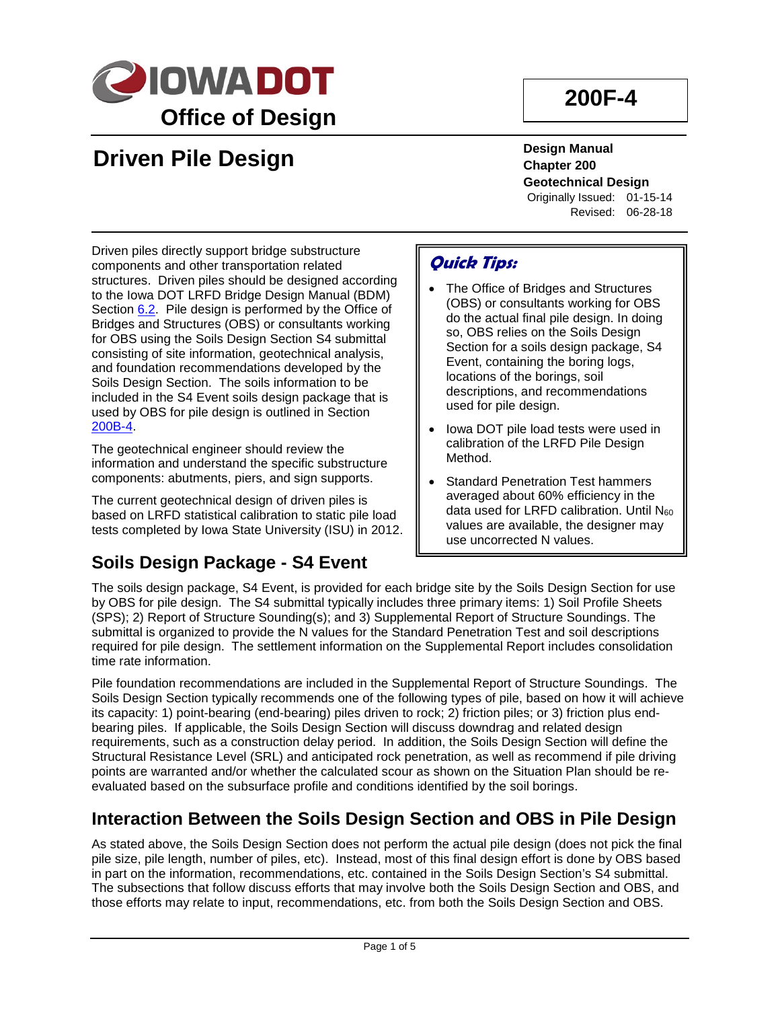

# **200F-4**

# **Driven Pile Design**

**Design Manual Chapter 200 Geotechnical Design** Originally Issued: 01-15-14

Revised: 06-28-18

Driven piles directly support bridge substructure components and other transportation related structures. Driven piles should be designed according to the Iowa DOT LRFD Bridge Design Manual (BDM) Section 6.2. Pile design is performed by the Office of Bridges and Structures (OBS) or consultants working for OBS using the Soils Design Section S4 submittal consisting of site information, geotechnical analysis, and foundation recommendations developed by the Soils Design Section. The soils information to be included in the S4 Event soils design package that is used by OBS for pile design is outlined in Section 200B-4.

The geotechnical engineer should review the information and understand the specific substructure components: abutments, piers, and sign supports.

The current geotechnical design of driven piles is based on LRFD statistical calibration to static pile load tests completed by Iowa State University (ISU) in 2012.

### **Soils Design Package - S4 Event**

### **Quick Tips:**

- The Office of Bridges and Structures (OBS) or consultants working for OBS do the actual final pile design. In doing so, OBS relies on the Soils Design Section for a soils design package, S4 Event, containing the boring logs, locations of the borings, soil descriptions, and recommendations used for pile design.
- Iowa DOT pile load tests were used in calibration of the LRFD Pile Design Method.
- Standard Penetration Test hammers averaged about 60% efficiency in the data used for LRFD calibration. Until N60 values are available, the designer may use uncorrected N values.

The soils design package, S4 Event, is provided for each bridge site by the Soils Design Section for use by OBS for pile design. The S4 submittal typically includes three primary items: 1) Soil Profile Sheets (SPS); 2) Report of Structure Sounding(s); and 3) Supplemental Report of Structure Soundings. The submittal is organized to provide the N values for the Standard Penetration Test and soil descriptions required for pile design. The settlement information on the Supplemental Report includes consolidation time rate information.

Pile foundation recommendations are included in the Supplemental Report of Structure Soundings. The Soils Design Section typically recommends one of the following types of pile, based on how it will achieve its capacity: 1) point-bearing (end-bearing) piles driven to rock; 2) friction piles; or 3) friction plus endbearing piles. If applicable, the Soils Design Section will discuss downdrag and related design requirements, such as a construction delay period. In addition, the Soils Design Section will define the Structural Resistance Level (SRL) and anticipated rock penetration, as well as recommend if pile driving points are warranted and/or whether the calculated scour as shown on the Situation Plan should be reevaluated based on the subsurface profile and conditions identified by the soil borings.

### **Interaction Between the Soils Design Section and OBS in Pile Design**

As stated above, the Soils Design Section does not perform the actual pile design (does not pick the final pile size, pile length, number of piles, etc). Instead, most of this final design effort is done by OBS based in part on the information, recommendations, etc. contained in the Soils Design Section's S4 submittal. The subsections that follow discuss efforts that may involve both the Soils Design Section and OBS, and those efforts may relate to input, recommendations, etc. from both the Soils Design Section and OBS.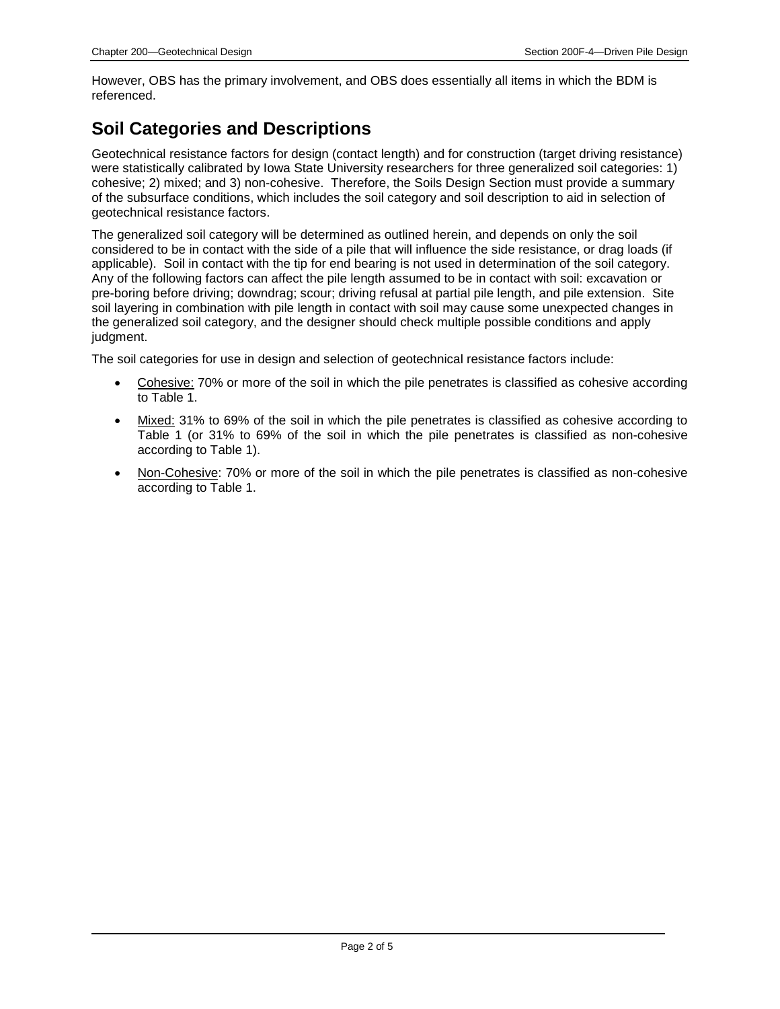However, OBS has the primary involvement, and OBS does essentially all items in which the BDM is referenced.

### **Soil Categories and Descriptions**

Geotechnical resistance factors for design (contact length) and for construction (target driving resistance) were statistically calibrated by Iowa State University researchers for three generalized soil categories: 1) cohesive; 2) mixed; and 3) non-cohesive. Therefore, the Soils Design Section must provide a summary of the subsurface conditions, which includes the soil category and soil description to aid in selection of geotechnical resistance factors.

The generalized soil category will be determined as outlined herein, and depends on only the soil considered to be in contact with the side of a pile that will influence the side resistance, or drag loads (if applicable). Soil in contact with the tip for end bearing is not used in determination of the soil category. Any of the following factors can affect the pile length assumed to be in contact with soil: excavation or pre-boring before driving; downdrag; scour; driving refusal at partial pile length, and pile extension. Site soil layering in combination with pile length in contact with soil may cause some unexpected changes in the generalized soil category, and the designer should check multiple possible conditions and apply judgment.

The soil categories for use in design and selection of geotechnical resistance factors include:

- Cohesive: 70% or more of the soil in which the pile penetrates is classified as cohesive according to Table 1.
- Mixed: 31% to 69% of the soil in which the pile penetrates is classified as cohesive according to Table 1 (or 31% to 69% of the soil in which the pile penetrates is classified as non-cohesive according to Table 1).
- Non-Cohesive: 70% or more of the soil in which the pile penetrates is classified as non-cohesive according to Table 1.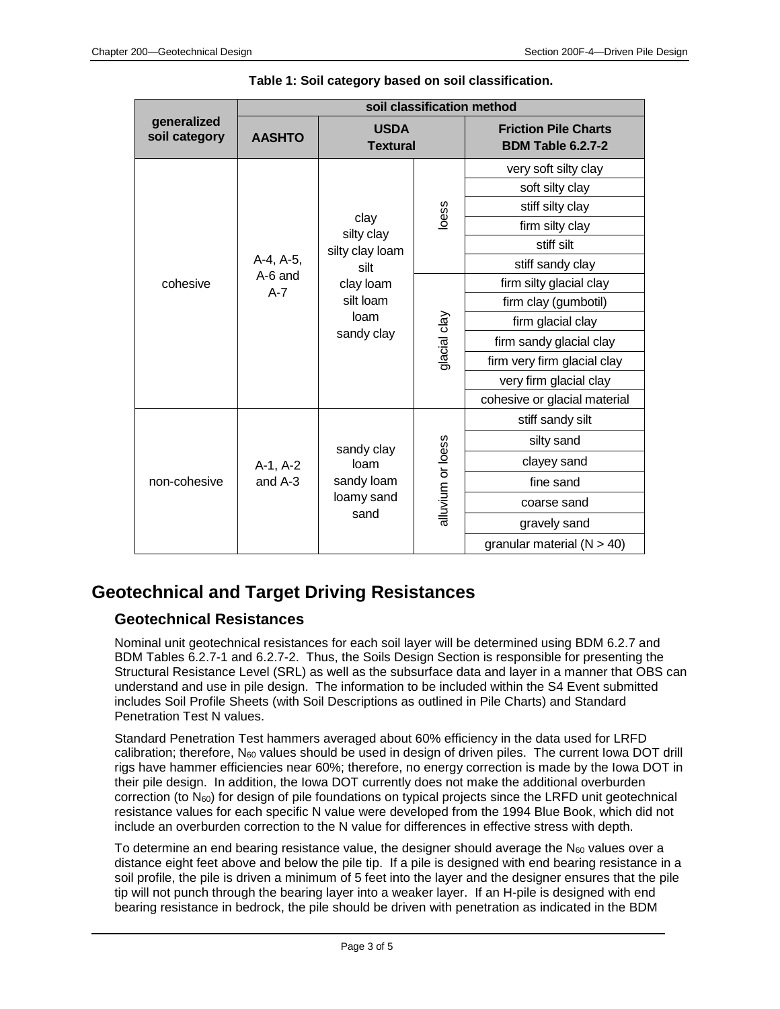| generalized<br>soil category | soil classification method      |                                                                                               |                   |                                                         |
|------------------------------|---------------------------------|-----------------------------------------------------------------------------------------------|-------------------|---------------------------------------------------------|
|                              | <b>AASHTO</b>                   | <b>USDA</b><br><b>Textural</b>                                                                |                   | <b>Friction Pile Charts</b><br><b>BDM Table 6.2.7-2</b> |
| cohesive                     | A-4, A-5,<br>A-6 and<br>$A - 7$ | clay<br>silty clay<br>silty clay loam<br>silt<br>clay loam<br>silt loam<br>loam<br>sandy clay | loess             | very soft silty clay                                    |
|                              |                                 |                                                                                               |                   | soft silty clay                                         |
|                              |                                 |                                                                                               |                   | stiff silty clay                                        |
|                              |                                 |                                                                                               |                   | firm silty clay                                         |
|                              |                                 |                                                                                               |                   | stiff silt                                              |
|                              |                                 |                                                                                               |                   | stiff sandy clay                                        |
|                              |                                 |                                                                                               | glacial clay      | firm silty glacial clay                                 |
|                              |                                 |                                                                                               |                   | firm clay (gumbotil)                                    |
|                              |                                 |                                                                                               |                   | firm glacial clay                                       |
|                              |                                 |                                                                                               |                   | firm sandy glacial clay                                 |
|                              |                                 |                                                                                               |                   | firm very firm glacial clay                             |
|                              |                                 |                                                                                               |                   | very firm glacial clay                                  |
|                              |                                 |                                                                                               |                   | cohesive or glacial material                            |
| non-cohesive                 | $A-1, A-2$<br>and $A-3$         | sandy clay<br>loam<br>sandy loam<br>loamy sand<br>sand                                        | alluvium or loess | stiff sandy silt                                        |
|                              |                                 |                                                                                               |                   | silty sand                                              |
|                              |                                 |                                                                                               |                   | clayey sand                                             |
|                              |                                 |                                                                                               |                   | fine sand                                               |
|                              |                                 |                                                                                               |                   | coarse sand                                             |
|                              |                                 |                                                                                               |                   | gravely sand                                            |
|                              |                                 |                                                                                               |                   | granular material $(N > 40)$                            |

#### **Table 1: Soil category based on soil classification.**

### **Geotechnical and Target Driving Resistances**

#### **Geotechnical Resistances**

Nominal unit geotechnical resistances for each soil layer will be determined using BDM 6.2.7 and BDM Tables 6.2.7-1 and 6.2.7-2. Thus, the Soils Design Section is responsible for presenting the Structural Resistance Level (SRL) as well as the subsurface data and layer in a manner that OBS can understand and use in pile design. The information to be included within the S4 Event submitted includes Soil Profile Sheets (with Soil Descriptions as outlined in Pile Charts) and Standard Penetration Test N values.

Standard Penetration Test hammers averaged about 60% efficiency in the data used for LRFD calibration; therefore,  $N_{60}$  values should be used in design of driven piles. The current lowa DOT drill rigs have hammer efficiencies near 60%; therefore, no energy correction is made by the Iowa DOT in their pile design. In addition, the Iowa DOT currently does not make the additional overburden correction (to  $N_{60}$ ) for design of pile foundations on typical projects since the LRFD unit geotechnical resistance values for each specific N value were developed from the 1994 Blue Book, which did not include an overburden correction to the N value for differences in effective stress with depth.

To determine an end bearing resistance value, the designer should average the  $N_{60}$  values over a distance eight feet above and below the pile tip. If a pile is designed with end bearing resistance in a soil profile, the pile is driven a minimum of 5 feet into the layer and the designer ensures that the pile tip will not punch through the bearing layer into a weaker layer. If an H-pile is designed with end bearing resistance in bedrock, the pile should be driven with penetration as indicated in the BDM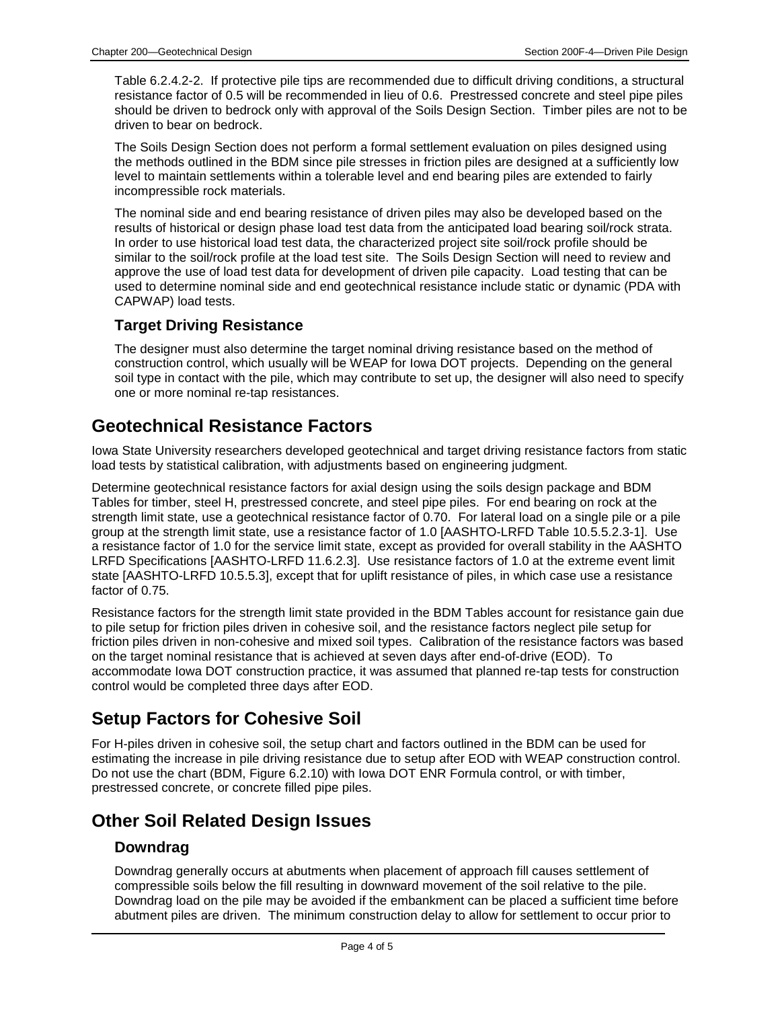Table 6.2.4.2-2. If protective pile tips are recommended due to difficult driving conditions, a structural resistance factor of 0.5 will be recommended in lieu of 0.6. Prestressed concrete and steel pipe piles should be driven to bedrock only with approval of the Soils Design Section. Timber piles are not to be driven to bear on bedrock.

The Soils Design Section does not perform a formal settlement evaluation on piles designed using the methods outlined in the BDM since pile stresses in friction piles are designed at a sufficiently low level to maintain settlements within a tolerable level and end bearing piles are extended to fairly incompressible rock materials.

The nominal side and end bearing resistance of driven piles may also be developed based on the results of historical or design phase load test data from the anticipated load bearing soil/rock strata. In order to use historical load test data, the characterized project site soil/rock profile should be similar to the soil/rock profile at the load test site. The Soils Design Section will need to review and approve the use of load test data for development of driven pile capacity. Load testing that can be used to determine nominal side and end geotechnical resistance include static or dynamic (PDA with CAPWAP) load tests.

#### **Target Driving Resistance**

The designer must also determine the target nominal driving resistance based on the method of construction control, which usually will be WEAP for Iowa DOT projects. Depending on the general soil type in contact with the pile, which may contribute to set up, the designer will also need to specify one or more nominal re-tap resistances.

### **Geotechnical Resistance Factors**

Iowa State University researchers developed geotechnical and target driving resistance factors from static load tests by statistical calibration, with adjustments based on engineering judgment.

Determine geotechnical resistance factors for axial design using the soils design package and BDM Tables for timber, steel H, prestressed concrete, and steel pipe piles. For end bearing on rock at the strength limit state, use a geotechnical resistance factor of 0.70. For lateral load on a single pile or a pile group at the strength limit state, use a resistance factor of 1.0 [AASHTO-LRFD Table 10.5.5.2.3-1]. Use a resistance factor of 1.0 for the service limit state, except as provided for overall stability in the AASHTO LRFD Specifications [AASHTO-LRFD 11.6.2.3]. Use resistance factors of 1.0 at the extreme event limit state [AASHTO-LRFD 10.5.5.3], except that for uplift resistance of piles, in which case use a resistance factor of 0.75.

Resistance factors for the strength limit state provided in the BDM Tables account for resistance gain due to pile setup for friction piles driven in cohesive soil, and the resistance factors neglect pile setup for friction piles driven in non-cohesive and mixed soil types. Calibration of the resistance factors was based on the target nominal resistance that is achieved at seven days after end-of-drive (EOD). To accommodate Iowa DOT construction practice, it was assumed that planned re-tap tests for construction control would be completed three days after EOD.

### **Setup Factors for Cohesive Soil**

For H-piles driven in cohesive soil, the setup chart and factors outlined in the BDM can be used for estimating the increase in pile driving resistance due to setup after EOD with WEAP construction control. Do not use the chart (BDM, Figure 6.2.10) with Iowa DOT ENR Formula control, or with timber, prestressed concrete, or concrete filled pipe piles.

### **Other Soil Related Design Issues**

#### **Downdrag**

Downdrag generally occurs at abutments when placement of approach fill causes settlement of compressible soils below the fill resulting in downward movement of the soil relative to the pile. Downdrag load on the pile may be avoided if the embankment can be placed a sufficient time before abutment piles are driven. The minimum construction delay to allow for settlement to occur prior to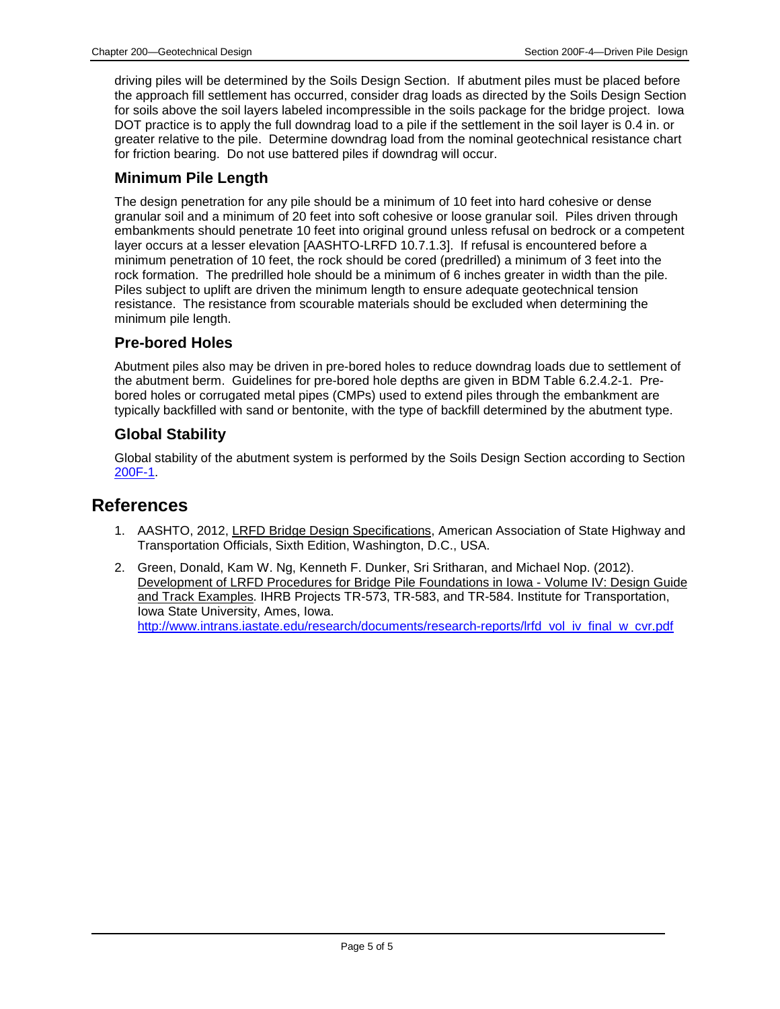driving piles will be determined by the Soils Design Section. If abutment piles must be placed before the approach fill settlement has occurred, consider drag loads as directed by the Soils Design Section for soils above the soil layers labeled incompressible in the soils package for the bridge project. Iowa DOT practice is to apply the full downdrag load to a pile if the settlement in the soil layer is 0.4 in. or greater relative to the pile. Determine downdrag load from the nominal geotechnical resistance chart for friction bearing. Do not use battered piles if downdrag will occur.

#### **Minimum Pile Length**

The design penetration for any pile should be a minimum of 10 feet into hard cohesive or dense granular soil and a minimum of 20 feet into soft cohesive or loose granular soil. Piles driven through embankments should penetrate 10 feet into original ground unless refusal on bedrock or a competent layer occurs at a lesser elevation [AASHTO-LRFD 10.7.1.3]. If refusal is encountered before a minimum penetration of 10 feet, the rock should be cored (predrilled) a minimum of 3 feet into the rock formation. The predrilled hole should be a minimum of 6 inches greater in width than the pile. Piles subject to uplift are driven the minimum length to ensure adequate geotechnical tension resistance. The resistance from scourable materials should be excluded when determining the minimum pile length.

#### **Pre-bored Holes**

Abutment piles also may be driven in pre-bored holes to reduce downdrag loads due to settlement of the abutment berm. Guidelines for pre-bored hole depths are given in BDM Table 6.2.4.2-1. Prebored holes or corrugated metal pipes (CMPs) used to extend piles through the embankment are typically backfilled with sand or bentonite, with the type of backfill determined by the abutment type.

#### **Global Stability**

Global stability of the abutment system is performed by the Soils Design Section according to Section 200F-1.

#### **References**

- 1. AASHTO, 2012, LRFD Bridge Design Specifications, American Association of State Highway and Transportation Officials, Sixth Edition, Washington, D.C., USA.
- 2. Green, Donald, Kam W. Ng, Kenneth F. Dunker, Sri Sritharan, and Michael Nop. (2012). Development of LRFD Procedures for Bridge Pile Foundations in Iowa - Volume IV: Design Guide and Track Examples*.* IHRB Projects TR-573, TR-583, and TR-584. Institute for Transportation, Iowa State University, Ames, Iowa. [http://www.intrans.iastate.edu/research/documents/research-reports/lrfd\\_vol\\_iv\\_final\\_w\\_cvr.pdf](http://www.intrans.iastate.edu/research/documents/research-reports/lrfd_vol_iv_final_w_cvr.pdf)

Page 5 of 5